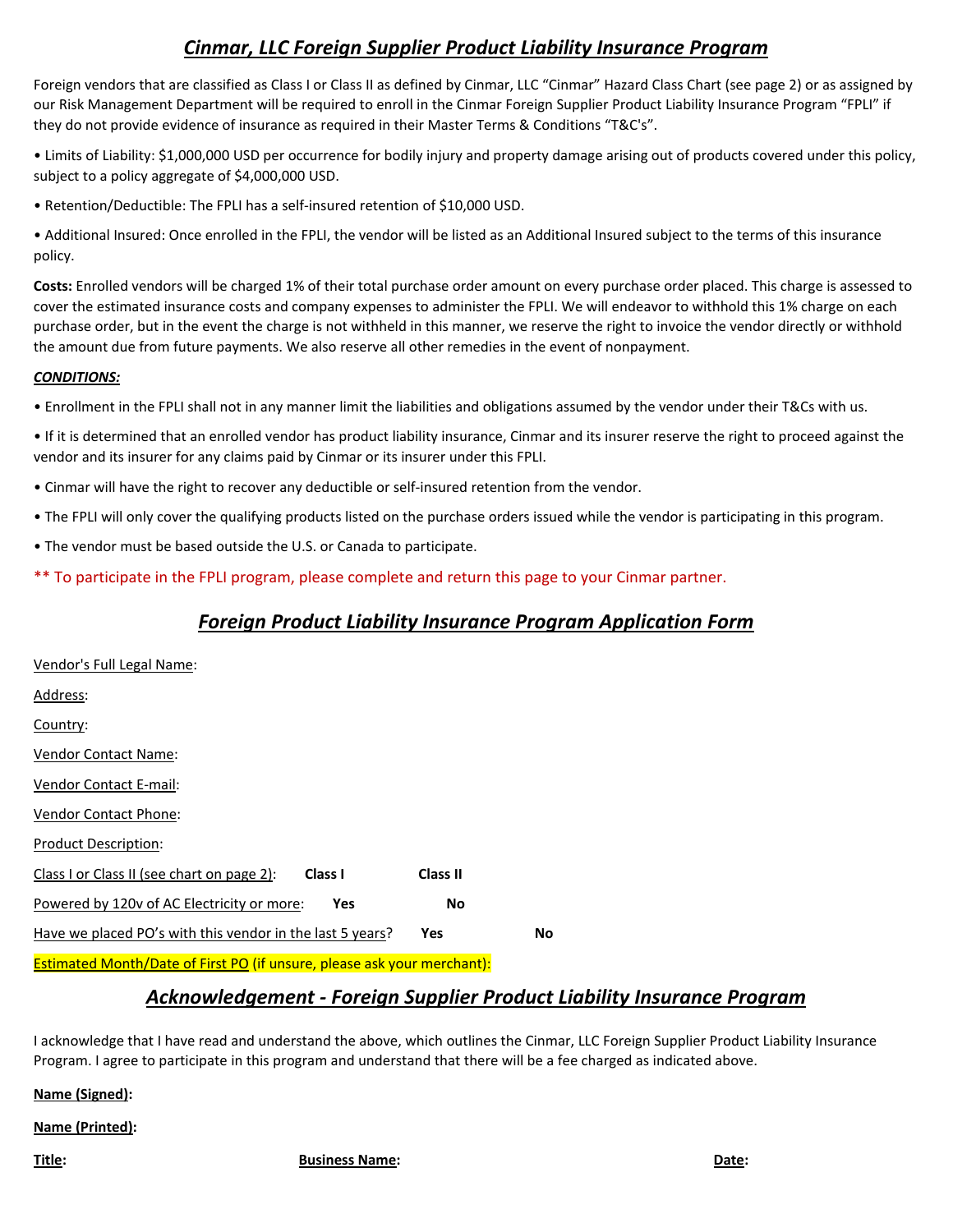# *Cinmar, LLC Foreign Supplier Product Liability Insurance Program*

Foreign vendors that are classified as Class I or Class II as defined by Cinmar, LLC "Cinmar" Hazard Class Chart (see page 2) or as assigned by our Risk Management Department will be required to enroll in the Cinmar Foreign Supplier Product Liability Insurance Program "FPLI" if they do not provide evidence of insurance as required in their Master Terms & Conditions "T&C's".

• Limits of Liability: \$1,000,000 USD per occurrence for bodily injury and property damage arising out of products covered under this policy, subject to a policy aggregate of \$4,000,000 USD.

• Retention/Deductible: The FPLI has a self-insured retention of \$10,000 USD.

• Additional Insured: Once enrolled in the FPLI, the vendor will be listed as an Additional Insured subject to the terms of this insurance policy.

**Costs:** Enrolled vendors will be charged 1% of their total purchase order amount on every purchase order placed. This charge is assessed to cover the estimated insurance costs and company expenses to administer the FPLI. We will endeavor to withhold this 1% charge on each purchase order, but in the event the charge is not withheld in this manner, we reserve the right to invoice the vendor directly or withhold the amount due from future payments. We also reserve all other remedies in the event of nonpayment.

### *CONDITIONS:*

• Enrollment in the FPLI shall not in any manner limit the liabilities and obligations assumed by the vendor under their T&Cs with us.

• If it is determined that an enrolled vendor has product liability insurance, Cinmar and its insurer reserve the right to proceed against the vendor and its insurer for any claims paid by Cinmar or its insurer under this FPLI.

- Cinmar will have the right to recover any deductible or self-insured retention from the vendor.
- The FPLI will only cover the qualifying products listed on the purchase orders issued while the vendor is participating in this program.
- The vendor must be based outside the U.S. or Canada to participate.
- \*\* To participate in the FPLI program, please complete and return this page to your Cinmar partner.

# *Foreign Product Liability Insurance Program Application Form*

| Vendor's Full Legal Name:                                 |           |    |
|-----------------------------------------------------------|-----------|----|
| Address:                                                  |           |    |
| Country:                                                  |           |    |
| Vendor Contact Name:                                      |           |    |
| Vendor Contact E-mail:                                    |           |    |
| <b>Vendor Contact Phone:</b>                              |           |    |
| <b>Product Description:</b>                               |           |    |
| Class I<br>Class I or Class II (see chart on page 2):     | Class II  |    |
| Powered by 120v of AC Electricity or more:<br>Yes         | <b>No</b> |    |
| Have we placed PO's with this vendor in the last 5 years? | Yes       | Νo |
|                                                           |           |    |

### Estimated Month/Date of First PO (if unsure, please ask your merchant):

## *Acknowledgement - Foreign Supplier Product Liability Insurance Program*

I acknowledge that I have read and understand the above, which outlines the Cinmar, LLC Foreign Supplier Product Liability Insurance Program. I agree to participate in this program and understand that there will be a fee charged as indicated above.

**Name (Signed):** 

#### **Name (Printed):**

**Title: Business Name: Date:**